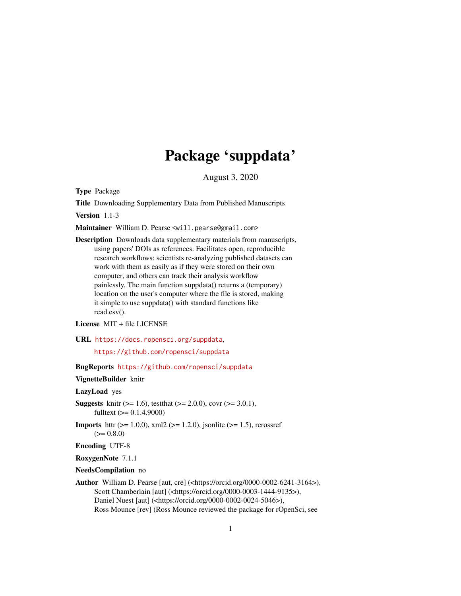# Package 'suppdata'

August 3, 2020

<span id="page-0-0"></span>Type Package

Title Downloading Supplementary Data from Published Manuscripts

Version 1.1-3

Maintainer William D. Pearse <will.pearse@gmail.com>

Description Downloads data supplementary materials from manuscripts, using papers' DOIs as references. Facilitates open, reproducible research workflows: scientists re-analyzing published datasets can work with them as easily as if they were stored on their own computer, and others can track their analysis workflow painlessly. The main function suppdata() returns a (temporary) location on the user's computer where the file is stored, making it simple to use suppdata() with standard functions like read.csv().

License MIT + file LICENSE

URL <https://docs.ropensci.org/suppdata>,

<https://github.com/ropensci/suppdata>

BugReports <https://github.com/ropensci/suppdata>

VignetteBuilder knitr

LazyLoad yes

- **Suggests** knitr ( $>= 1.6$ ), test that ( $>= 2.0.0$ ), covr ( $>= 3.0.1$ ), fulltext  $(>= 0.1.4.9000)$
- **Imports** httr ( $>= 1.0.0$ ), xml2 ( $>= 1.2.0$ ), jsonlite ( $>= 1.5$ ), rcrossref  $(>= 0.8.0)$

Encoding UTF-8

RoxygenNote 7.1.1

NeedsCompilation no

Author William D. Pearse [aut, cre] (<https://orcid.org/0000-0002-6241-3164>), Scott Chamberlain [aut] (<https://orcid.org/0000-0003-1444-9135>), Daniel Nuest [aut] (<https://orcid.org/0000-0002-0024-5046>), Ross Mounce [rev] (Ross Mounce reviewed the package for rOpenSci, see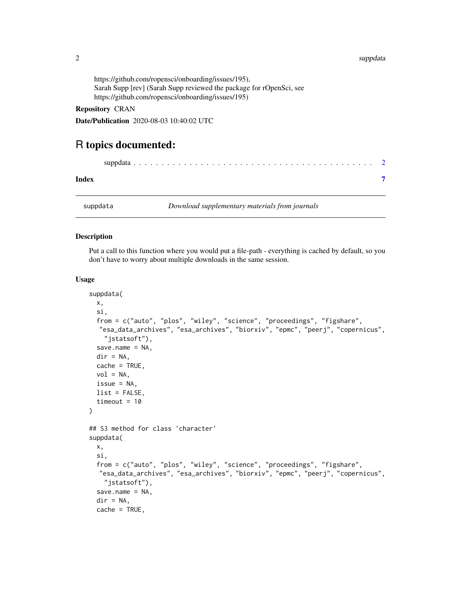## <span id="page-1-0"></span>2 supported to the contract of the contract of the contract of the contract of the contract of the contract of the contract of the contract of the contract of the contract of the contract of the contract of the contract of

https://github.com/ropensci/onboarding/issues/195), Sarah Supp [rev] (Sarah Supp reviewed the package for rOpenSci, see https://github.com/ropensci/onboarding/issues/195)

# Repository CRAN

Date/Publication 2020-08-03 10:40:02 UTC

# R topics documented:

| Index    |                                                |  |
|----------|------------------------------------------------|--|
| suppdata | Download supplementary materials from journals |  |

# Description

Put a call to this function where you would put a file-path - everything is cached by default, so you don't have to worry about multiple downloads in the same session.

#### Usage

```
suppdata(
 x,
  si,
  from = c("auto", "plos", "wiley", "science", "proceedings", "figshare",
  "esa_data_archives", "esa_archives", "biorxiv", "epmc", "peerj", "copernicus",
    "jstatsoft"),
  save.name = NA,
 dir = NA,cache = TRUE,
 vol = NA,
 issue = NA,
 list = FALSE,
  timeout = 10
)
## S3 method for class 'character'
suppdata(
 x,
  si,
  from = c("auto", "plos", "wiley", "science", "proceedings", "figshare",
  "esa_data_archives", "esa_archives", "biorxiv", "epmc", "peerj", "copernicus",
    "jstatsoft"),
  save.name = NA,
  dir = NA,cache = TRUE,
```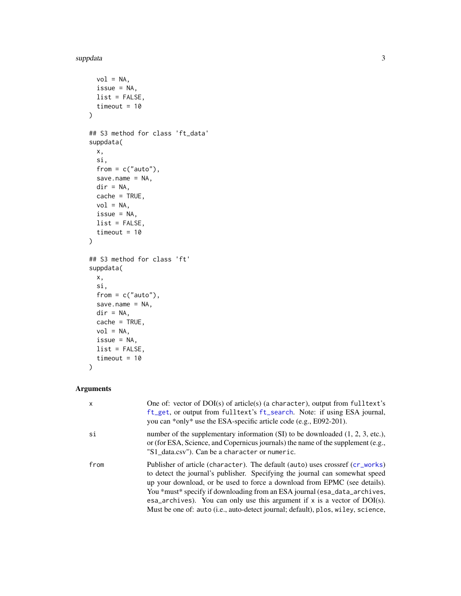## <span id="page-2-0"></span>suppdata 3 and 3 and 3 and 3 and 3 and 3 and 3 and 3 and 3 and 3 and 3 and 3 and 3 and 3 and 3 and 3 and 3 and 3 and 3 and 3 and 3 and 3 and 3 and 3 and 3 and 3 and 3 and 3 and 3 and 3 and 3 and 3 and 3 and 3 and 3 and 3 a

```
vol = NA,
 issue = NA,
 list = FALSE,
 timeout = 10
)
## S3 method for class 'ft_data'
suppdata(
 x,
  si,
 from = c("auto"),save.name = NA,
 dir = NA,
 cache = TRUE,vol = NA,
 issue = NA,
 list = FALSE,
  timeout = 10\mathcal{L}## S3 method for class 'ft'
suppdata(
 x,
 si,
 from = c("auto"),
 save.name = NA,
 dir = NA,cache = TRUE,
 vol = NA,
 issue = NA,
 list = FALSE,
 timeout = 10)
```
# Arguments

| $\mathsf{x}$ | One of: vector of $DOI(s)$ of article(s) (a character), output from fulltext's<br>ft_get, or output from fulltext's ft_search. Note: if using ESA journal,<br>you can *only* use the ESA-specific article code (e.g., E092-201).                                                                                                                                                                                                                                                           |
|--------------|--------------------------------------------------------------------------------------------------------------------------------------------------------------------------------------------------------------------------------------------------------------------------------------------------------------------------------------------------------------------------------------------------------------------------------------------------------------------------------------------|
| si           | number of the supplementary information $(SI)$ to be downloaded $(1, 2, 3, etc.),$<br>or (for ESA, Science, and Copernicus journals) the name of the supplement (e.g.,<br>"S1_data.csv"). Can be a character or numeric.                                                                                                                                                                                                                                                                   |
| from         | Publisher of article (character). The default (auto) uses crossref (cr_works)<br>to detect the journal's publisher. Specifying the journal can somewhat speed<br>up your download, or be used to force a download from EPMC (see details).<br>You *must* specify if downloading from an ESA journal (esa_data_archives,<br>esa_archives). You can only use this argument if $x$ is a vector of DOI(s).<br>Must be one of: auto (i.e., auto-detect journal; default), plos, wiley, science, |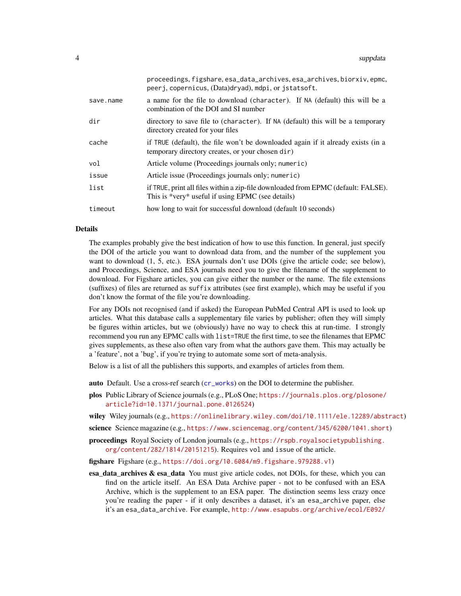<span id="page-3-0"></span>

|           | proceedings, figshare, esa_data_archives, esa_archives, biorxiv, epmc,<br>peerj, copernicus, (Data)dryad), mdpi, or jstatsoft.         |
|-----------|----------------------------------------------------------------------------------------------------------------------------------------|
| save.name | a name for the file to download (character). If NA (default) this will be a<br>combination of the DOI and SI number                    |
| dir       | directory to save file to (character). If NA (default) this will be a temporary<br>directory created for your files                    |
| cache     | if TRUE (default), the file won't be downloaded again if it already exists (in a<br>temporary directory creates, or your chosen dir)   |
| vol       | Article volume (Proceedings journals only; numeric)                                                                                    |
| issue     | Article issue (Proceedings journals only; numeric)                                                                                     |
| list      | if TRUE, print all files within a zip-file downloaded from EPMC (default: FALSE).<br>This is *very* useful if using EPMC (see details) |
| timeout   | how long to wait for successful download (default 10 seconds)                                                                          |

# Details

The examples probably give the best indication of how to use this function. In general, just specify the DOI of the article you want to download data from, and the number of the supplement you want to download  $(1, 5, etc.).$  ESA journals don't use DOIs (give the article code; see below), and Proceedings, Science, and ESA journals need you to give the filename of the supplement to download. For Figshare articles, you can give either the number or the name. The file extensions (suffixes) of files are returned as suffix attributes (see first example), which may be useful if you don't know the format of the file you're downloading.

For any DOIs not recognised (and if asked) the European PubMed Central API is used to look up articles. What this database calls a supplementary file varies by publisher; often they will simply be figures within articles, but we (obviously) have no way to check this at run-time. I strongly recommend you run any EPMC calls with list=TRUE the first time, to see the filenames that EPMC gives supplements, as these also often vary from what the authors gave them. This may actually be a 'feature', not a 'bug', if you're trying to automate some sort of meta-analysis.

Below is a list of all the publishers this supports, and examples of articles from them.

- auto Default. Use a cross-ref search ([cr\\_works](#page-0-0)) on the DOI to determine the publisher.
- plos Public Library of Science journals (e.g., PLoS One; [https://journals.plos.org/plosone/](https://journals.plos.org/plosone/article?id=10.1371/journal.pone.0126524) [article?id=10.1371/journal.pone.0126524](https://journals.plos.org/plosone/article?id=10.1371/journal.pone.0126524))
- wiley Wiley journals (e.g., <https://onlinelibrary.wiley.com/doi/10.1111/ele.12289/abstract>)
- science Science magazine (e.g., <https://www.sciencemag.org/content/345/6200/1041.short>)
- proceedings Royal Society of London journals (e.g., [https://rspb.royalsocietypublishing.](https://rspb.royalsocietypublishing.org/content/282/1814/20151215) [org/content/282/1814/20151215](https://rspb.royalsocietypublishing.org/content/282/1814/20151215)). Requires vol and issue of the article.

figshare Figshare (e.g., <https://doi.org/10.6084/m9.figshare.979288.v1>)

esa\_data\_archives & esa\_data You must give article codes, not DOIs, for these, which you can find on the article itself. An ESA Data Archive paper - not to be confused with an ESA Archive, which is the supplement to an ESA paper. The distinction seems less crazy once you're reading the paper - if it only describes a dataset, it's an esa\_archive paper, else it's an esa\_data\_archive. For example, [http://www.esapubs.org/archive/ecol/E092/](http://www.esapubs.org/archive/ecol/E092/201/default.htm)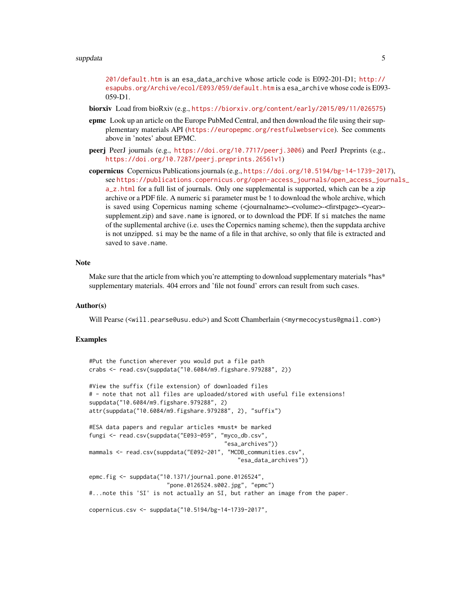## [suppdata](http://www.esapubs.org/archive/ecol/E092/201/default.htm) 50 to 50 million with the state of the state of the state of the state of the state of the state of the state of the state of the state of the state of the state of the state of the state of the state of the state

[201/default.htm](http://www.esapubs.org/archive/ecol/E092/201/default.htm) is an esa\_data\_archive whose article code is E092-201-D1; [http://](http://esapubs.org/Archive/ecol/E093/059/default.htm) [esapubs.org/Archive/ecol/E093/059/default.htm](http://esapubs.org/Archive/ecol/E093/059/default.htm) is a esa\_archive whose code is E093- 059-D1.

biorxiv Load from bioRxiv (e.g., <https://biorxiv.org/content/early/2015/09/11/026575>)

- epmc Look up an article on the Europe PubMed Central, and then download the file using their supplementary materials API (<https://europepmc.org/restfulwebservice>). See comments above in 'notes' about EPMC.
- peerj PeerJ journals (e.g., <https://doi.org/10.7717/peerj.3006>) and PeerJ Preprints (e.g., <https://doi.org/10.7287/peerj.preprints.26561v1>)
- copernicus Copernicus Publications journals (e.g., <https://doi.org/10.5194/bg-14-1739-2017>), see [https://publications.copernicus.org/open-access\\_journals/open\\_access\\_jou](https://publications.copernicus.org/open-access_journals/open_access_journals_a_z.html)rnals\_ [a\\_z.html](https://publications.copernicus.org/open-access_journals/open_access_journals_a_z.html) for a full list of journals. Only one supplemental is supported, which can be a zip archive or a PDF file. A numeric si parameter must be 1 to download the whole archive, which is saved using Copernicus naming scheme (<journalname>-<volume>-<firstpage>-<year>supplement.zip) and save.name is ignored, or to download the PDF. If si matches the name of the supllemental archive (i.e. uses the Copernics naming scheme), then the suppdata archive is not unzipped. si may be the name of a file in that archive, so only that file is extracted and saved to save.name.

# **Note**

Make sure that the article from which you're attempting to download supplementary materials \*has\* supplementary materials. 404 errors and 'file not found' errors can result from such cases.

# Author(s)

Will Pearse (<will.pearse@usu.edu>) and Scott Chamberlain (<myrmecocystus@gmail.com>)

# Examples

```
#Put the function wherever you would put a file path
crabs <- read.csv(suppdata("10.6084/m9.figshare.979288", 2))
#View the suffix (file extension) of downloaded files
# - note that not all files are uploaded/stored with useful file extensions!
suppdata("10.6084/m9.figshare.979288", 2)
attr(suppdata("10.6084/m9.figshare.979288", 2), "suffix")
#ESA data papers and regular articles *must* be marked
fungi <- read.csv(suppdata("E093-059", "myco_db.csv",
                                        "esa_archives"))
mammals <- read.csv(suppdata("E092-201", "MCDB_communities.csv",
                                            "esa_data_archives"))
epmc.fig <- suppdata("10.1371/journal.pone.0126524",
                       "pone.0126524.s002.jpg", "epmc")
#...note this 'SI' is not actually an SI, but rather an image from the paper.
copernicus.csv <- suppdata("10.5194/bg-14-1739-2017",
```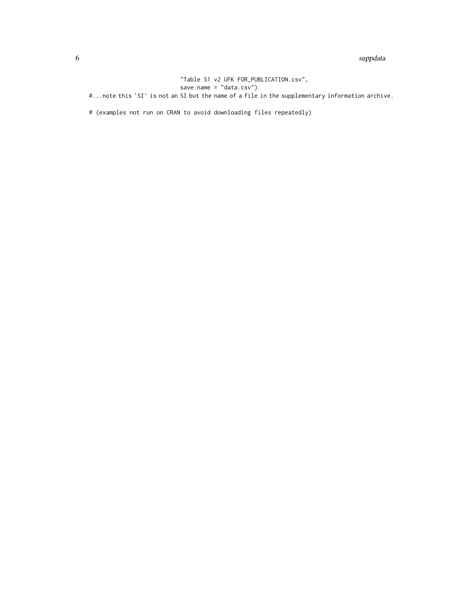## 6 supported by the contract of the contract of the contract of the supported by supported by supported by  $\sim$

"Table S1 v2 UFK FOR\_PUBLICATION.csv", save.name = "data.csv") #...note this 'SI' is not an SI but the name of a file in the supplementary information archive.

# (examples not run on CRAN to avoid downloading files repeatedly)